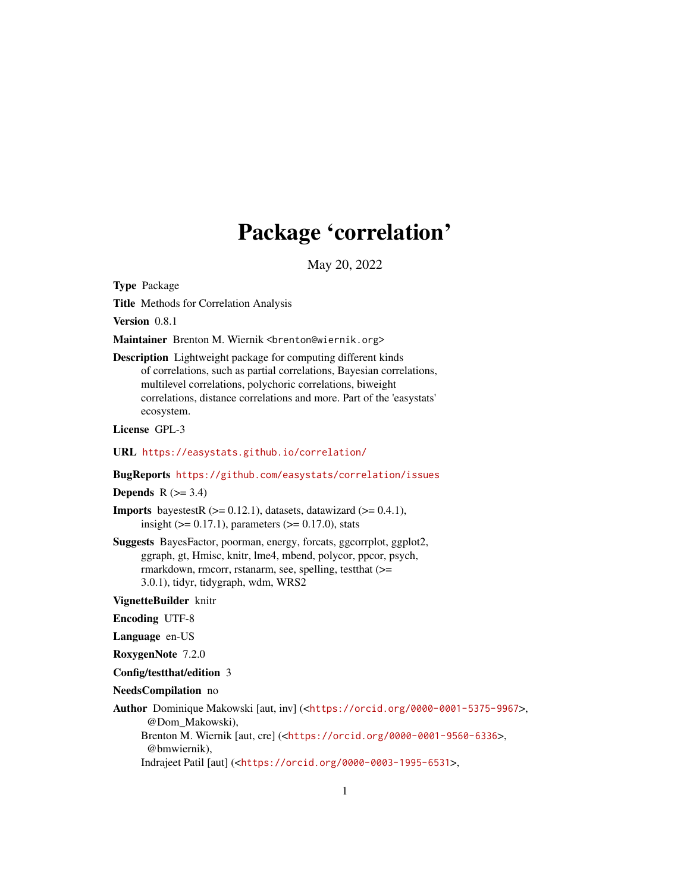## Package 'correlation'

May 20, 2022

<span id="page-0-0"></span>Type Package

Title Methods for Correlation Analysis

Version 0.8.1

Maintainer Brenton M. Wiernik <br enton@wiernik.org>

Description Lightweight package for computing different kinds of correlations, such as partial correlations, Bayesian correlations, multilevel correlations, polychoric correlations, biweight correlations, distance correlations and more. Part of the 'easystats' ecosystem.

License GPL-3

URL <https://easystats.github.io/correlation/>

#### BugReports <https://github.com/easystats/correlation/issues>

Depends  $R$  ( $>= 3.4$ )

**Imports** bayestestR  $(>= 0.12.1)$ , datasets, datawizard  $(>= 0.4.1)$ , insight  $(>= 0.17.1)$ , parameters  $(>= 0.17.0)$ , stats

Suggests BayesFactor, poorman, energy, forcats, ggcorrplot, ggplot2, ggraph, gt, Hmisc, knitr, lme4, mbend, polycor, ppcor, psych, rmarkdown, rmcorr, rstanarm, see, spelling, testthat (>= 3.0.1), tidyr, tidygraph, wdm, WRS2

VignetteBuilder knitr

Encoding UTF-8

Language en-US

RoxygenNote 7.2.0

#### Config/testthat/edition 3

NeedsCompilation no

Author Dominique Makowski [aut, inv] (<<https://orcid.org/0000-0001-5375-9967>>, @Dom\_Makowski), Brenton M. Wiernik [aut, cre] (<<https://orcid.org/0000-0001-9560-6336>>, @bmwiernik),

Indrajeet Patil [aut] (<<https://orcid.org/0000-0003-1995-6531>>,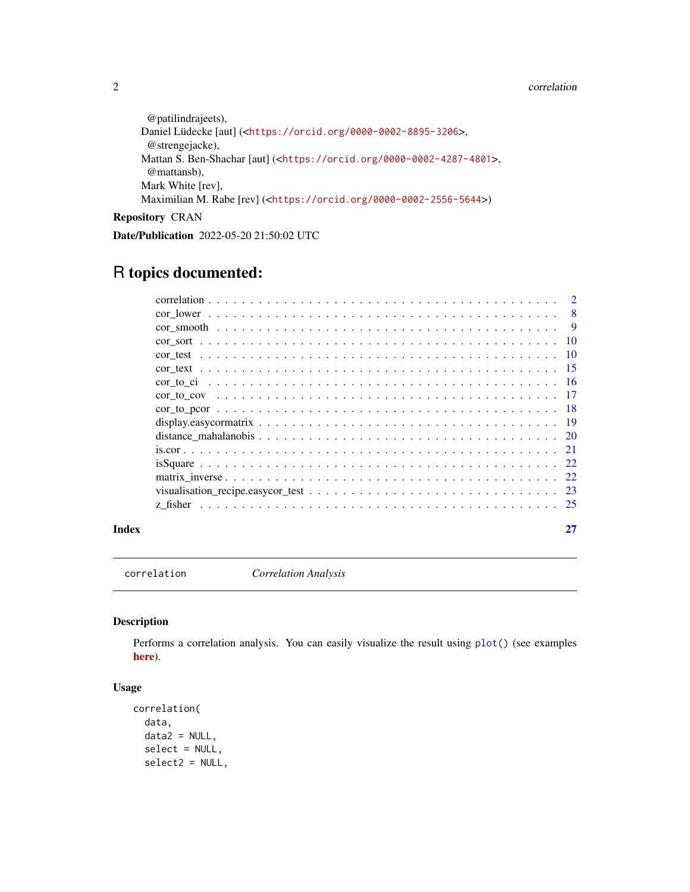#### <span id="page-1-0"></span>2 correlation control of the correlation correlation correlation correlation correlation correlation correlation

```
@patilindrajeets),
Daniel Lüdecke [aut] (<https://orcid.org/0000-0002-8895-3206>,
 @strengejacke),
Mattan S. Ben-Shachar [aut] (<https://orcid.org/0000-0002-4287-4801>,
 @mattansb),
Mark White [rev],
Maximilian M. Rabe [rev] (<https://orcid.org/0000-0002-2556-5644>)
```
Repository CRAN

Date/Publication 2022-05-20 21:50:02 UTC

## R topics documented:

| Index |  |
|-------|--|
|       |  |
|       |  |
|       |  |
|       |  |
|       |  |
|       |  |
|       |  |
|       |  |
|       |  |
|       |  |
|       |  |
|       |  |
|       |  |
|       |  |
|       |  |
|       |  |

<span id="page-1-1"></span>correlation *Correlation Analysis*

## Description

Performs a correlation analysis. You can easily visualize the result using [plot\(\)](#page-22-1) (see examples [here](https://easystats.github.io/correlation/reference/visualisation_recipe.easycormatrix.html#ref-examples)).

## Usage

```
correlation(
 data,
  data2 = NULL,
  select = NULL,
  select2 = NULL,
```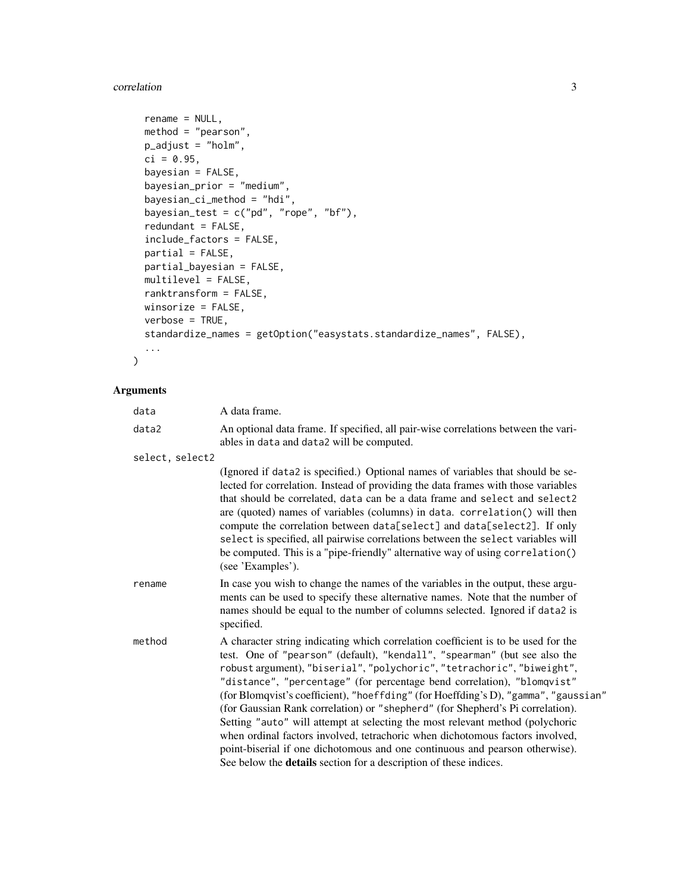#### correlation 3

```
rename = NULL,
 method = "pearson",
 p\_adjust = "holm",ci = 0.95,bayesian = FALSE,
 bayesian_prior = "medium",
 bayesian_ci_method = "hdi",
 bayesian_test = c("pd", "rope", "bf"),redundant = FALSE,
  include_factors = FALSE,
 partial = FALSE,partial_bayesian = FALSE,
 multilevel = FALSE,
 ranktransform = FALSE,
 winsorize = FALSE,
  verbose = TRUE,
  standardize_names = getOption("easystats.standardize_names", FALSE),
  ...
\mathcal{L}
```
## Arguments

| data            | A data frame.                                                                                                                                                                                                                                                                                                                                                                                                                                                                                                                                                                                                                                                                                                                                                                                                              |
|-----------------|----------------------------------------------------------------------------------------------------------------------------------------------------------------------------------------------------------------------------------------------------------------------------------------------------------------------------------------------------------------------------------------------------------------------------------------------------------------------------------------------------------------------------------------------------------------------------------------------------------------------------------------------------------------------------------------------------------------------------------------------------------------------------------------------------------------------------|
| data2           | An optional data frame. If specified, all pair-wise correlations between the vari-<br>ables in data and data2 will be computed.                                                                                                                                                                                                                                                                                                                                                                                                                                                                                                                                                                                                                                                                                            |
| select, select2 |                                                                                                                                                                                                                                                                                                                                                                                                                                                                                                                                                                                                                                                                                                                                                                                                                            |
|                 | (Ignored if data2 is specified.) Optional names of variables that should be se-<br>lected for correlation. Instead of providing the data frames with those variables<br>that should be correlated, data can be a data frame and select and select2<br>are (quoted) names of variables (columns) in data. correlation() will then<br>compute the correlation between data[select] and data[select2]. If only<br>select is specified, all pairwise correlations between the select variables will<br>be computed. This is a "pipe-friendly" alternative way of using correlation()<br>(see 'Examples').                                                                                                                                                                                                                      |
| rename          | In case you wish to change the names of the variables in the output, these argu-<br>ments can be used to specify these alternative names. Note that the number of<br>names should be equal to the number of columns selected. Ignored if data2 is<br>specified.                                                                                                                                                                                                                                                                                                                                                                                                                                                                                                                                                            |
| method          | A character string indicating which correlation coefficient is to be used for the<br>test. One of "pearson" (default), "kendall", "spearman" (but see also the<br>robust argument), "biserial", "polychoric", "tetrachoric", "biweight",<br>"distance", "percentage" (for percentage bend correlation), "blomqvist"<br>(for Blomqvist's coefficient), "hoeffding" (for Hoeffding's D), "gamma", "gaussian"<br>(for Gaussian Rank correlation) or "shepherd" (for Shepherd's Pi correlation).<br>Setting "auto" will attempt at selecting the most relevant method (polychoric<br>when ordinal factors involved, tetrachoric when dichotomous factors involved,<br>point-biserial if one dichotomous and one continuous and pearson otherwise).<br>See below the <b>details</b> section for a description of these indices. |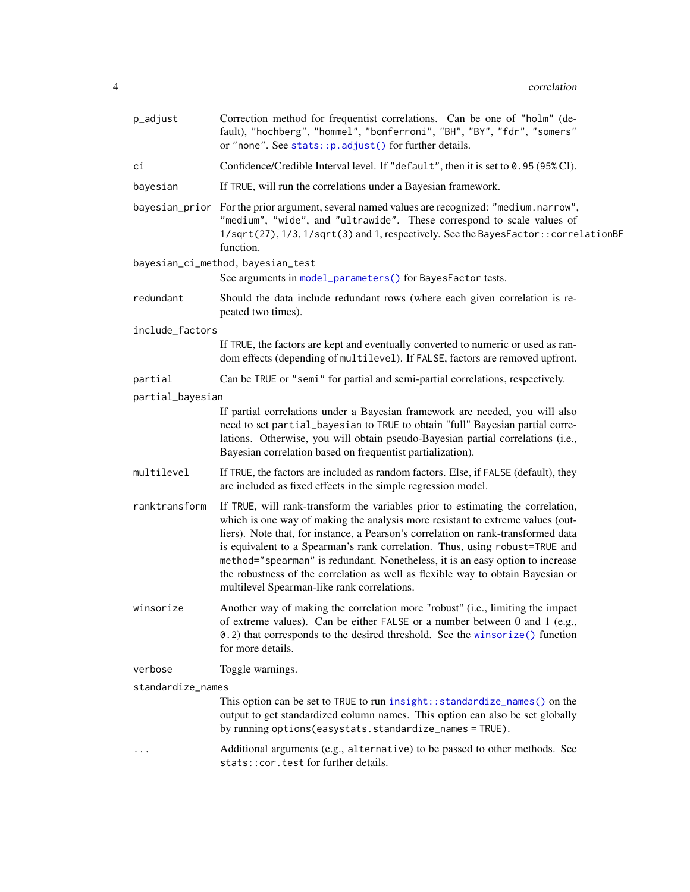<span id="page-3-0"></span>

| p_adjust          | Correction method for frequentist correlations. Can be one of "holm" (de-<br>fault), "hochberg", "hommel", "bonferroni", "BH", "BY", "fdr", "somers"<br>or "none". See stats:: p.adjust() for further details.                                                                                                                                                                                                                                                                                                                                           |
|-------------------|----------------------------------------------------------------------------------------------------------------------------------------------------------------------------------------------------------------------------------------------------------------------------------------------------------------------------------------------------------------------------------------------------------------------------------------------------------------------------------------------------------------------------------------------------------|
| сi                | Confidence/Credible Interval level. If "default", then it is set to 0.95 (95% CI).                                                                                                                                                                                                                                                                                                                                                                                                                                                                       |
| bayesian          | If TRUE, will run the correlations under a Bayesian framework.                                                                                                                                                                                                                                                                                                                                                                                                                                                                                           |
|                   | bayesian_prior For the prior argument, several named values are recognized: "medium.narrow",<br>"medium", "wide", and "ultrawide". These correspond to scale values of<br>1/sqrt(27), 1/3, 1/sqrt(3) and 1, respectively. See the BayesFactor:: correlationBF<br>function.                                                                                                                                                                                                                                                                               |
|                   | bayesian_ci_method, bayesian_test<br>See arguments in model_parameters() for BayesFactor tests.                                                                                                                                                                                                                                                                                                                                                                                                                                                          |
| redundant         | Should the data include redundant rows (where each given correlation is re-<br>peated two times).                                                                                                                                                                                                                                                                                                                                                                                                                                                        |
| include_factors   |                                                                                                                                                                                                                                                                                                                                                                                                                                                                                                                                                          |
|                   | If TRUE, the factors are kept and eventually converted to numeric or used as ran-<br>dom effects (depending of multilevel). If FALSE, factors are removed upfront.                                                                                                                                                                                                                                                                                                                                                                                       |
| partial           | Can be TRUE or "semi" for partial and semi-partial correlations, respectively.                                                                                                                                                                                                                                                                                                                                                                                                                                                                           |
| partial_bayesian  |                                                                                                                                                                                                                                                                                                                                                                                                                                                                                                                                                          |
|                   | If partial correlations under a Bayesian framework are needed, you will also<br>need to set partial_bayesian to TRUE to obtain "full" Bayesian partial corre-<br>lations. Otherwise, you will obtain pseudo-Bayesian partial correlations (i.e.,<br>Bayesian correlation based on frequentist partialization).                                                                                                                                                                                                                                           |
| multilevel        | If TRUE, the factors are included as random factors. Else, if FALSE (default), they<br>are included as fixed effects in the simple regression model.                                                                                                                                                                                                                                                                                                                                                                                                     |
| ranktransform     | If TRUE, will rank-transform the variables prior to estimating the correlation,<br>which is one way of making the analysis more resistant to extreme values (out-<br>liers). Note that, for instance, a Pearson's correlation on rank-transformed data<br>is equivalent to a Spearman's rank correlation. Thus, using robust=TRUE and<br>method="spearman" is redundant. Nonetheless, it is an easy option to increase<br>the robustness of the correlation as well as flexible way to obtain Bayesian or<br>multilevel Spearman-like rank correlations. |
| winsorize         | Another way of making the correlation more "robust" (i.e., limiting the impact<br>of extreme values). Can be either FALSE or a number between 0 and 1 (e.g.,<br>0.2) that corresponds to the desired threshold. See the winsorize () function<br>for more details.                                                                                                                                                                                                                                                                                       |
| verbose           | Toggle warnings.                                                                                                                                                                                                                                                                                                                                                                                                                                                                                                                                         |
| standardize_names |                                                                                                                                                                                                                                                                                                                                                                                                                                                                                                                                                          |
|                   | This option can be set to TRUE to run insight:: standardize_names() on the<br>output to get standardized column names. This option can also be set globally<br>by running options (easystats. standardize_names = TRUE).                                                                                                                                                                                                                                                                                                                                 |
|                   | Additional arguments (e.g., alternative) to be passed to other methods. See<br>stats:: cor.test for further details.                                                                                                                                                                                                                                                                                                                                                                                                                                     |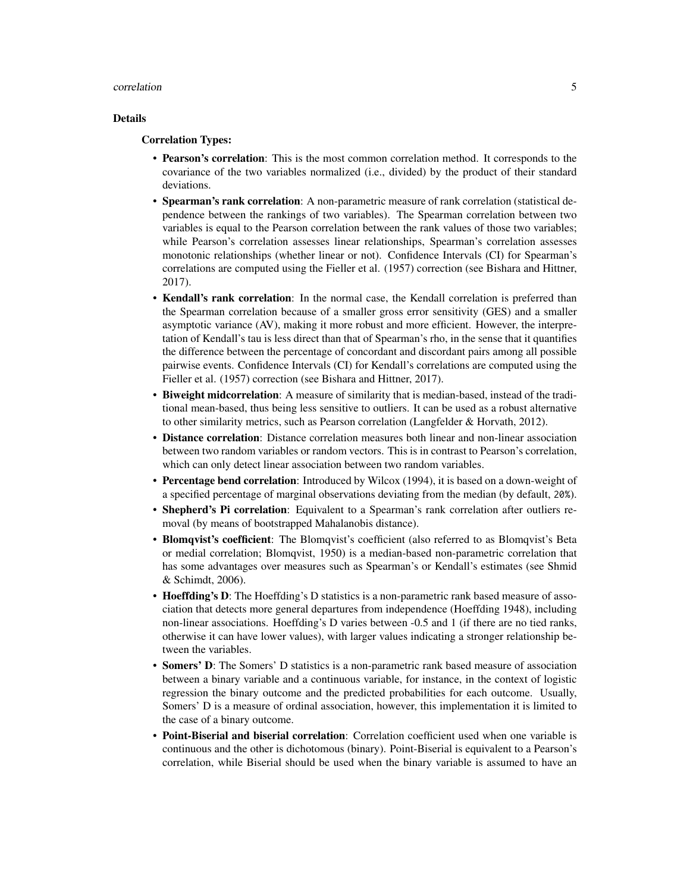#### correlation 5

#### Details

#### Correlation Types:

- Pearson's correlation: This is the most common correlation method. It corresponds to the covariance of the two variables normalized (i.e., divided) by the product of their standard deviations.
- Spearman's rank correlation: A non-parametric measure of rank correlation (statistical dependence between the rankings of two variables). The Spearman correlation between two variables is equal to the Pearson correlation between the rank values of those two variables; while Pearson's correlation assesses linear relationships, Spearman's correlation assesses monotonic relationships (whether linear or not). Confidence Intervals (CI) for Spearman's correlations are computed using the Fieller et al. (1957) correction (see Bishara and Hittner, 2017).
- Kendall's rank correlation: In the normal case, the Kendall correlation is preferred than the Spearman correlation because of a smaller gross error sensitivity (GES) and a smaller asymptotic variance (AV), making it more robust and more efficient. However, the interpretation of Kendall's tau is less direct than that of Spearman's rho, in the sense that it quantifies the difference between the percentage of concordant and discordant pairs among all possible pairwise events. Confidence Intervals (CI) for Kendall's correlations are computed using the Fieller et al. (1957) correction (see Bishara and Hittner, 2017).
- Biweight midcorrelation: A measure of similarity that is median-based, instead of the traditional mean-based, thus being less sensitive to outliers. It can be used as a robust alternative to other similarity metrics, such as Pearson correlation (Langfelder & Horvath, 2012).
- Distance correlation: Distance correlation measures both linear and non-linear association between two random variables or random vectors. This is in contrast to Pearson's correlation, which can only detect linear association between two random variables.
- Percentage bend correlation: Introduced by Wilcox (1994), it is based on a down-weight of a specified percentage of marginal observations deviating from the median (by default, 20%).
- Shepherd's Pi correlation: Equivalent to a Spearman's rank correlation after outliers removal (by means of bootstrapped Mahalanobis distance).
- Blomqvist's coefficient: The Blomqvist's coefficient (also referred to as Blomqvist's Beta or medial correlation; Blomqvist, 1950) is a median-based non-parametric correlation that has some advantages over measures such as Spearman's or Kendall's estimates (see Shmid & Schimdt, 2006).
- Hoeffding's D: The Hoeffding's D statistics is a non-parametric rank based measure of association that detects more general departures from independence (Hoeffding 1948), including non-linear associations. Hoeffding's D varies between -0.5 and 1 (if there are no tied ranks, otherwise it can have lower values), with larger values indicating a stronger relationship between the variables.
- Somers' D: The Somers' D statistics is a non-parametric rank based measure of association between a binary variable and a continuous variable, for instance, in the context of logistic regression the binary outcome and the predicted probabilities for each outcome. Usually, Somers' D is a measure of ordinal association, however, this implementation it is limited to the case of a binary outcome.
- Point-Biserial and biserial correlation: Correlation coefficient used when one variable is continuous and the other is dichotomous (binary). Point-Biserial is equivalent to a Pearson's correlation, while Biserial should be used when the binary variable is assumed to have an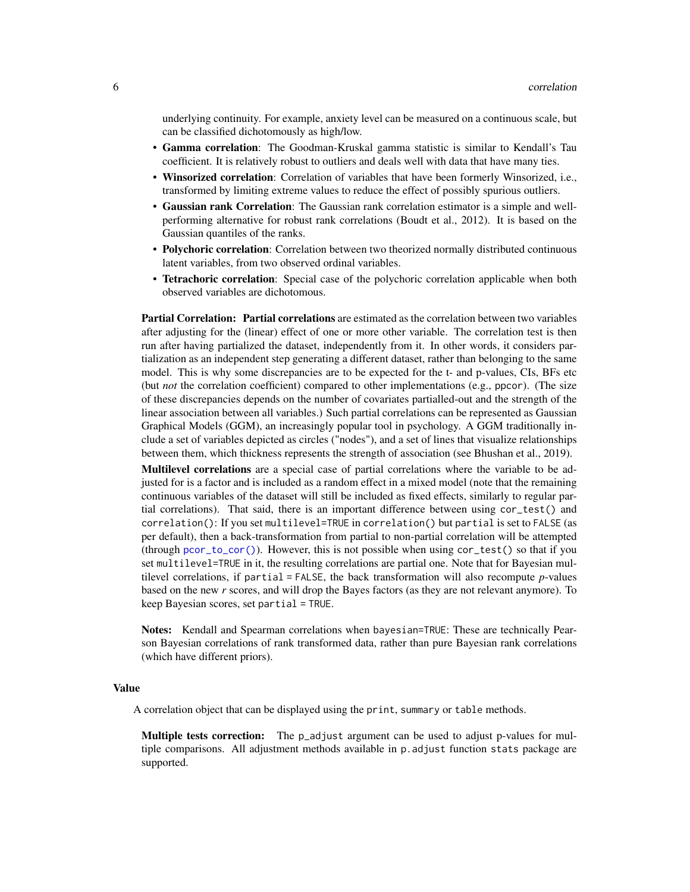<span id="page-5-0"></span>underlying continuity. For example, anxiety level can be measured on a continuous scale, but can be classified dichotomously as high/low.

- Gamma correlation: The Goodman-Kruskal gamma statistic is similar to Kendall's Tau coefficient. It is relatively robust to outliers and deals well with data that have many ties.
- Winsorized correlation: Correlation of variables that have been formerly Winsorized, i.e., transformed by limiting extreme values to reduce the effect of possibly spurious outliers.
- Gaussian rank Correlation: The Gaussian rank correlation estimator is a simple and wellperforming alternative for robust rank correlations (Boudt et al., 2012). It is based on the Gaussian quantiles of the ranks.
- Polychoric correlation: Correlation between two theorized normally distributed continuous latent variables, from two observed ordinal variables.
- Tetrachoric correlation: Special case of the polychoric correlation applicable when both observed variables are dichotomous.

Partial Correlation: Partial correlations are estimated as the correlation between two variables after adjusting for the (linear) effect of one or more other variable. The correlation test is then run after having partialized the dataset, independently from it. In other words, it considers partialization as an independent step generating a different dataset, rather than belonging to the same model. This is why some discrepancies are to be expected for the t- and p-values, CIs, BFs etc (but *not* the correlation coefficient) compared to other implementations (e.g., ppcor). (The size of these discrepancies depends on the number of covariates partialled-out and the strength of the linear association between all variables.) Such partial correlations can be represented as Gaussian Graphical Models (GGM), an increasingly popular tool in psychology. A GGM traditionally include a set of variables depicted as circles ("nodes"), and a set of lines that visualize relationships between them, which thickness represents the strength of association (see Bhushan et al., 2019).

Multilevel correlations are a special case of partial correlations where the variable to be adjusted for is a factor and is included as a random effect in a mixed model (note that the remaining continuous variables of the dataset will still be included as fixed effects, similarly to regular partial correlations). That said, there is an important difference between using cor\_test() and correlation(): If you set multilevel=TRUE in correlation() but partial is set to FALSE (as per default), then a back-transformation from partial to non-partial correlation will be attempted (through [pcor\\_to\\_cor\(\)](#page-17-1)). However, this is not possible when using cor\_test() so that if you set multilevel=TRUE in it, the resulting correlations are partial one. Note that for Bayesian multilevel correlations, if partial = FALSE, the back transformation will also recompute *p*-values based on the new *r* scores, and will drop the Bayes factors (as they are not relevant anymore). To keep Bayesian scores, set partial = TRUE.

Notes: Kendall and Spearman correlations when bayesian=TRUE: These are technically Pearson Bayesian correlations of rank transformed data, rather than pure Bayesian rank correlations (which have different priors).

### Value

A correlation object that can be displayed using the print, summary or table methods.

Multiple tests correction: The p\_adjust argument can be used to adjust p-values for multiple comparisons. All adjustment methods available in p.adjust function stats package are supported.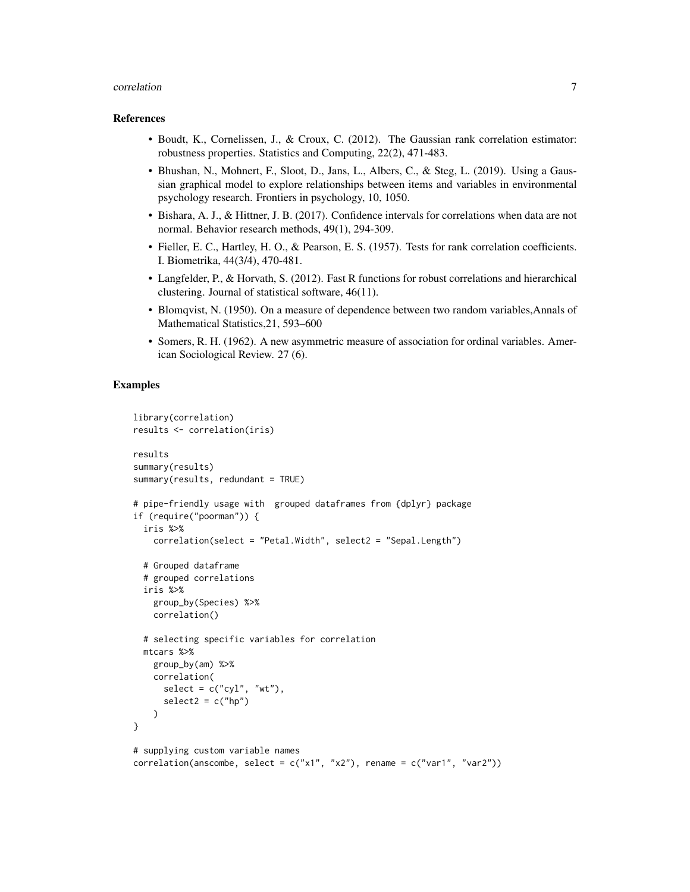#### correlation 7

#### References

- Boudt, K., Cornelissen, J., & Croux, C. (2012). The Gaussian rank correlation estimator: robustness properties. Statistics and Computing, 22(2), 471-483.
- Bhushan, N., Mohnert, F., Sloot, D., Jans, L., Albers, C., & Steg, L. (2019). Using a Gaussian graphical model to explore relationships between items and variables in environmental psychology research. Frontiers in psychology, 10, 1050.
- Bishara, A. J., & Hittner, J. B. (2017). Confidence intervals for correlations when data are not normal. Behavior research methods, 49(1), 294-309.
- Fieller, E. C., Hartley, H. O., & Pearson, E. S. (1957). Tests for rank correlation coefficients. I. Biometrika, 44(3/4), 470-481.
- Langfelder, P., & Horvath, S. (2012). Fast R functions for robust correlations and hierarchical clustering. Journal of statistical software, 46(11).
- Blomqvist, N. (1950). On a measure of dependence between two random variables,Annals of Mathematical Statistics,21, 593–600
- Somers, R. H. (1962). A new asymmetric measure of association for ordinal variables. American Sociological Review. 27 (6).

```
library(correlation)
results <- correlation(iris)
results
summary(results)
summary(results, redundant = TRUE)
# pipe-friendly usage with grouped dataframes from {dplyr} package
if (require("poorman")) {
 iris %>%
    correlation(select = "Petal.Width", select2 = "Sepal.Length")
 # Grouped dataframe
 # grouped correlations
 iris %>%
   group_by(Species) %>%
   correlation()
 # selecting specific variables for correlation
 mtcars %>%
   group_by(am) %>%
   correlation(
     select = c("cyl", "wt"),select2 = c("hp"))
}
# supplying custom variable names
correlation(anscombe, select = c("x1", "x2"), rename = c("var1", "var2")
```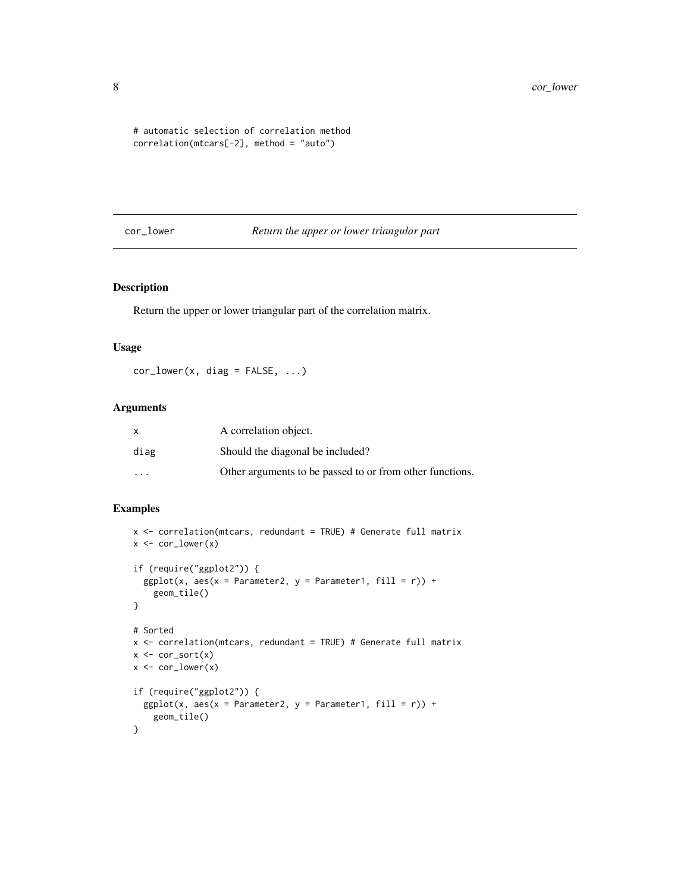```
# automatic selection of correlation method
correlation(mtcars[-2], method = "auto")
```
#### cor\_lower *Return the upper or lower triangular part*

## Description

Return the upper or lower triangular part of the correlation matrix.

## Usage

 $cor\_lower(x, diag = FALSE, ...)$ 

## Arguments

| x                       | A correlation object.                                    |
|-------------------------|----------------------------------------------------------|
| diag                    | Should the diagonal be included?                         |
| $\cdot$ $\cdot$ $\cdot$ | Other arguments to be passed to or from other functions. |

```
x <- correlation(mtcars, redundant = TRUE) # Generate full matrix
x \leftarrow cor\_lower(x)if (require("ggplot2")) {
  ggplot(x, aes(x = Parameter2, y = Parameter1, fill = r)) +geom_tile()
}
# Sorted
x <- correlation(mtcars, redundant = TRUE) # Generate full matrix
x \leftarrow cor\_sort(x)x \leftarrow cor\_lower(x)if (require("ggplot2")) {
  ggplot(x, aes(x = Parameter2, y = Parameter1, fill = r)) +geom_tile()
}
```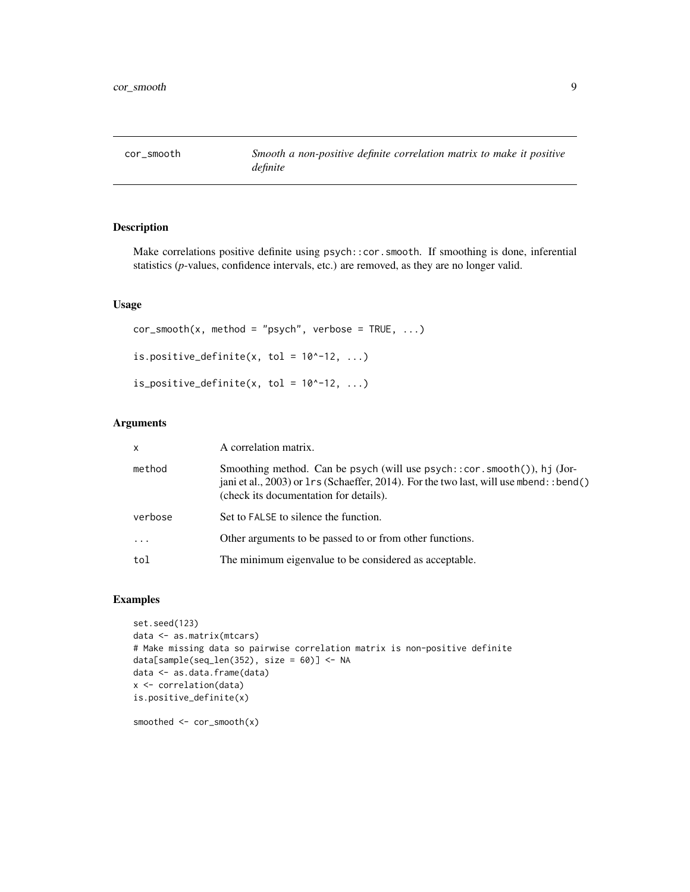<span id="page-8-0"></span>

## Description

Make correlations positive definite using psych::cor.smooth. If smoothing is done, inferential statistics (*p*-values, confidence intervals, etc.) are removed, as they are no longer valid.

## Usage

 $cor\_smooth(x, method = "psych", verbose = TRUE, ...)$ is.positive\_definite(x, tol =  $10^{\circ}$ -12, ...) is\_positive\_definite(x, tol =  $10^{\circ}$ -12, ...)

## Arguments

| x        | A correlation matrix.                                                                                                                                                                                            |
|----------|------------------------------------------------------------------------------------------------------------------------------------------------------------------------------------------------------------------|
| method   | Smoothing method. Can be psych (will use $psych$ : cor. smooth()), hj (Jor-<br>jani et al., 2003) or 1rs (Schaeffer, 2014). For the two last, will use mbend: : bend()<br>(check its documentation for details). |
| verbose  | Set to FALSE to silence the function.                                                                                                                                                                            |
| $\ddots$ | Other arguments to be passed to or from other functions.                                                                                                                                                         |
| tol      | The minimum eigenvalue to be considered as acceptable.                                                                                                                                                           |

```
set.seed(123)
data <- as.matrix(mtcars)
# Make missing data so pairwise correlation matrix is non-positive definite
data[sample(seq_len(352), size = 60)] <- NA
data <- as.data.frame(data)
x <- correlation(data)
is.positive_definite(x)
smoothed <- cor_smooth(x)
```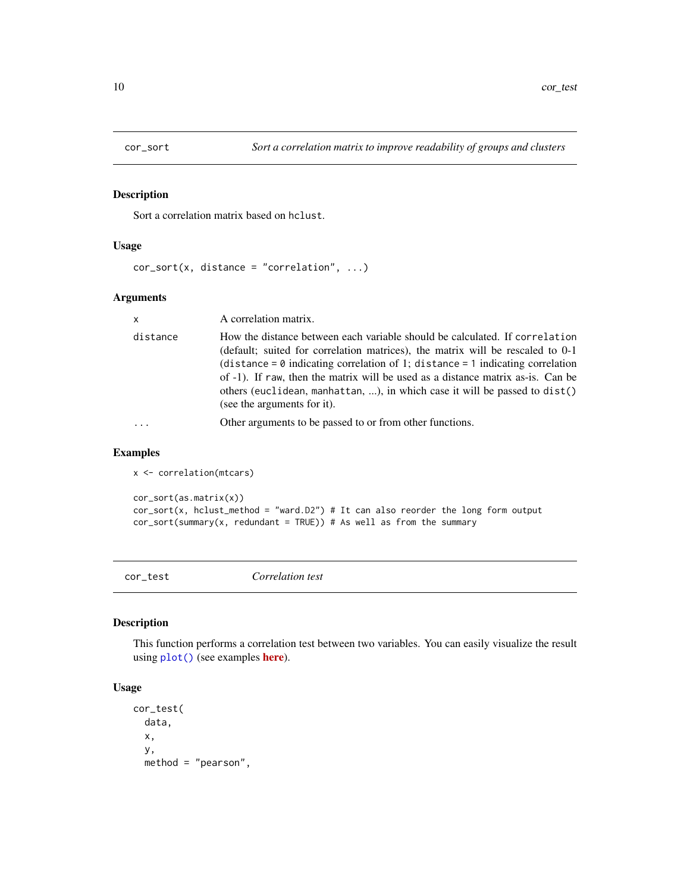<span id="page-9-0"></span>

## Description

Sort a correlation matrix based on hclust.

## Usage

```
cor\_sort(x, distance = "correlation", ...)
```
### Arguments

| $\mathsf{x}$ | A correlation matrix.                                                                                                                                                                                                                                                                                                                                                                                                                                  |
|--------------|--------------------------------------------------------------------------------------------------------------------------------------------------------------------------------------------------------------------------------------------------------------------------------------------------------------------------------------------------------------------------------------------------------------------------------------------------------|
| distance     | How the distance between each variable should be calculated. If correlation<br>(default; suited for correlation matrices), the matrix will be rescaled to 0-1<br>(distance = $\theta$ indicating correlation of 1; distance = 1 indicating correlation<br>of -1). If raw, then the matrix will be used as a distance matrix as-is. Can be<br>others (euclidean, manhattan, ), in which case it will be passed to dist()<br>(see the arguments for it). |
|              | Other arguments to be passed to or from other functions.                                                                                                                                                                                                                                                                                                                                                                                               |
|              |                                                                                                                                                                                                                                                                                                                                                                                                                                                        |

## Examples

```
cor_sort(as.matrix(x))
cor\_sort(x, hclust_method = "ward.D2") # It can also reorder the long form outputcor\_sort(summary(x, redundant = TRUE)) # As well as from the summary
```
cor\_test *Correlation test*

## Description

This function performs a correlation test between two variables. You can easily visualize the result using [plot\(\)](#page-22-1) (see examples **[here](https://easystats.github.io/correlation/reference/visualisation_recipe.easycormatrix.html#ref-examples)**).

## Usage

```
cor_test(
  data,
  x,
 y,
 method = "pearson",
```
x <- correlation(mtcars)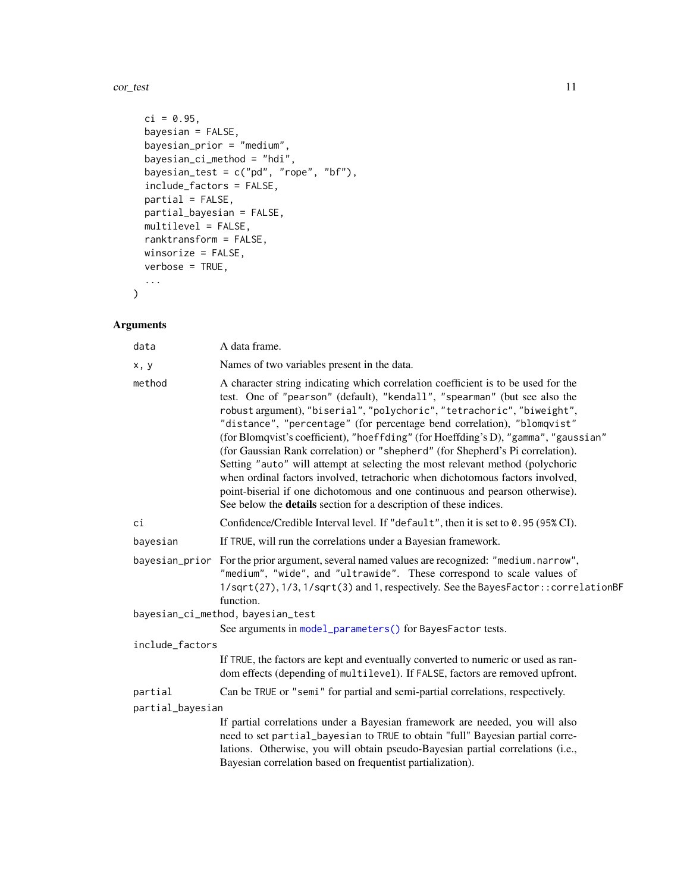<span id="page-10-0"></span>cor\_test 11

```
ci = 0.95,bayesian = FALSE,
 bayesian_prior = "medium",
 bayesian_ci_method = "hdi",
 bayesian_test = c("pd", "rope", "bf"),include_factors = FALSE,
 partial = FALSE,partial_bayesian = FALSE,
 multilevel = FALSE,
 ranktransform = FALSE,
 winsorize = FALSE,
 verbose = TRUE,
  ...
\mathcal{L}
```
## Arguments

| data             | A data frame.                                                                                                                                                                                                                                                                                                                                                                                                                                                                                                                                                                                                                                                                                                                                                                                                              |
|------------------|----------------------------------------------------------------------------------------------------------------------------------------------------------------------------------------------------------------------------------------------------------------------------------------------------------------------------------------------------------------------------------------------------------------------------------------------------------------------------------------------------------------------------------------------------------------------------------------------------------------------------------------------------------------------------------------------------------------------------------------------------------------------------------------------------------------------------|
| x, y             | Names of two variables present in the data.                                                                                                                                                                                                                                                                                                                                                                                                                                                                                                                                                                                                                                                                                                                                                                                |
| method           | A character string indicating which correlation coefficient is to be used for the<br>test. One of "pearson" (default), "kendall", "spearman" (but see also the<br>robust argument), "biserial", "polychoric", "tetrachoric", "biweight",<br>"distance", "percentage" (for percentage bend correlation), "blomqvist"<br>(for Blomqvist's coefficient), "hoeffding" (for Hoeffding's D), "gamma", "gaussian"<br>(for Gaussian Rank correlation) or "shepherd" (for Shepherd's Pi correlation).<br>Setting "auto" will attempt at selecting the most relevant method (polychoric<br>when ordinal factors involved, tetrachoric when dichotomous factors involved,<br>point-biserial if one dichotomous and one continuous and pearson otherwise).<br>See below the <b>details</b> section for a description of these indices. |
| ci               | Confidence/Credible Interval level. If "default", then it is set to 0.95 (95% CI).                                                                                                                                                                                                                                                                                                                                                                                                                                                                                                                                                                                                                                                                                                                                         |
| bayesian         | If TRUE, will run the correlations under a Bayesian framework.                                                                                                                                                                                                                                                                                                                                                                                                                                                                                                                                                                                                                                                                                                                                                             |
|                  | bayesian_prior For the prior argument, several named values are recognized: "medium.narrow",<br>"medium", "wide", and "ultrawide". These correspond to scale values of<br>1/sqrt(27), 1/3, 1/sqrt(3) and 1, respectively. See the BayesFactor:: correlationBF<br>function.                                                                                                                                                                                                                                                                                                                                                                                                                                                                                                                                                 |
|                  | bayesian_ci_method, bayesian_test                                                                                                                                                                                                                                                                                                                                                                                                                                                                                                                                                                                                                                                                                                                                                                                          |
|                  | See arguments in model_parameters() for BayesFactor tests.                                                                                                                                                                                                                                                                                                                                                                                                                                                                                                                                                                                                                                                                                                                                                                 |
| include_factors  |                                                                                                                                                                                                                                                                                                                                                                                                                                                                                                                                                                                                                                                                                                                                                                                                                            |
|                  | If TRUE, the factors are kept and eventually converted to numeric or used as ran-<br>dom effects (depending of multilevel). If FALSE, factors are removed upfront.                                                                                                                                                                                                                                                                                                                                                                                                                                                                                                                                                                                                                                                         |
| partial          | Can be TRUE or "semi" for partial and semi-partial correlations, respectively.                                                                                                                                                                                                                                                                                                                                                                                                                                                                                                                                                                                                                                                                                                                                             |
| partial_bayesian |                                                                                                                                                                                                                                                                                                                                                                                                                                                                                                                                                                                                                                                                                                                                                                                                                            |
|                  | If partial correlations under a Bayesian framework are needed, you will also<br>need to set partial_bayesian to TRUE to obtain "full" Bayesian partial corre-<br>lations. Otherwise, you will obtain pseudo-Bayesian partial correlations (i.e.,<br>Bayesian correlation based on frequentist partialization).                                                                                                                                                                                                                                                                                                                                                                                                                                                                                                             |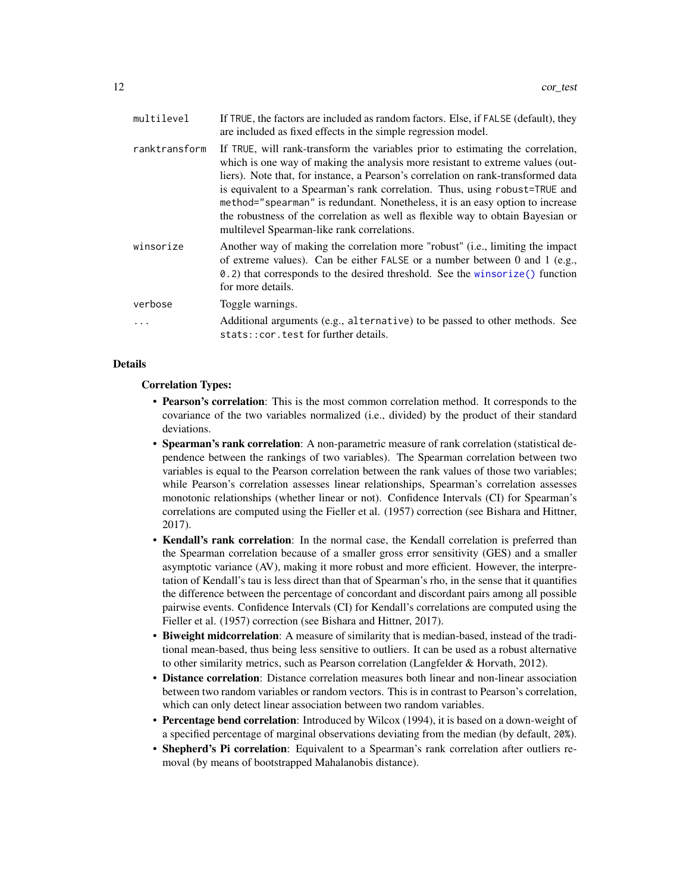<span id="page-11-0"></span>

| multilevel    | If TRUE, the factors are included as random factors. Else, if FALSE (default), they<br>are included as fixed effects in the simple regression model.                                                                                                                                                                                                                                                                                                                                                                                                     |
|---------------|----------------------------------------------------------------------------------------------------------------------------------------------------------------------------------------------------------------------------------------------------------------------------------------------------------------------------------------------------------------------------------------------------------------------------------------------------------------------------------------------------------------------------------------------------------|
| ranktransform | If TRUE, will rank-transform the variables prior to estimating the correlation,<br>which is one way of making the analysis more resistant to extreme values (out-<br>liers). Note that, for instance, a Pearson's correlation on rank-transformed data<br>is equivalent to a Spearman's rank correlation. Thus, using robust=TRUE and<br>method="spearman" is redundant. Nonetheless, it is an easy option to increase<br>the robustness of the correlation as well as flexible way to obtain Bayesian or<br>multilevel Spearman-like rank correlations. |
| winsorize     | Another way of making the correlation more "robust" (i.e., limiting the impact<br>of extreme values). Can be either FALSE or a number between 0 and 1 (e.g.,<br>0.2) that corresponds to the desired threshold. See the winsorize () function<br>for more details.                                                                                                                                                                                                                                                                                       |
| verbose       | Toggle warnings.                                                                                                                                                                                                                                                                                                                                                                                                                                                                                                                                         |
|               | Additional arguments (e.g., alternative) to be passed to other methods. See<br>stats:: cor.test for further details.                                                                                                                                                                                                                                                                                                                                                                                                                                     |

#### Details

#### Correlation Types:

- Pearson's correlation: This is the most common correlation method. It corresponds to the covariance of the two variables normalized (i.e., divided) by the product of their standard deviations.
- Spearman's rank correlation: A non-parametric measure of rank correlation (statistical dependence between the rankings of two variables). The Spearman correlation between two variables is equal to the Pearson correlation between the rank values of those two variables; while Pearson's correlation assesses linear relationships, Spearman's correlation assesses monotonic relationships (whether linear or not). Confidence Intervals (CI) for Spearman's correlations are computed using the Fieller et al. (1957) correction (see Bishara and Hittner, 2017).
- Kendall's rank correlation: In the normal case, the Kendall correlation is preferred than the Spearman correlation because of a smaller gross error sensitivity (GES) and a smaller asymptotic variance (AV), making it more robust and more efficient. However, the interpretation of Kendall's tau is less direct than that of Spearman's rho, in the sense that it quantifies the difference between the percentage of concordant and discordant pairs among all possible pairwise events. Confidence Intervals (CI) for Kendall's correlations are computed using the Fieller et al. (1957) correction (see Bishara and Hittner, 2017).
- Biweight midcorrelation: A measure of similarity that is median-based, instead of the traditional mean-based, thus being less sensitive to outliers. It can be used as a robust alternative to other similarity metrics, such as Pearson correlation (Langfelder & Horvath, 2012).
- Distance correlation: Distance correlation measures both linear and non-linear association between two random variables or random vectors. This is in contrast to Pearson's correlation, which can only detect linear association between two random variables.
- Percentage bend correlation: Introduced by Wilcox (1994), it is based on a down-weight of a specified percentage of marginal observations deviating from the median (by default, 20%).
- Shepherd's Pi correlation: Equivalent to a Spearman's rank correlation after outliers removal (by means of bootstrapped Mahalanobis distance).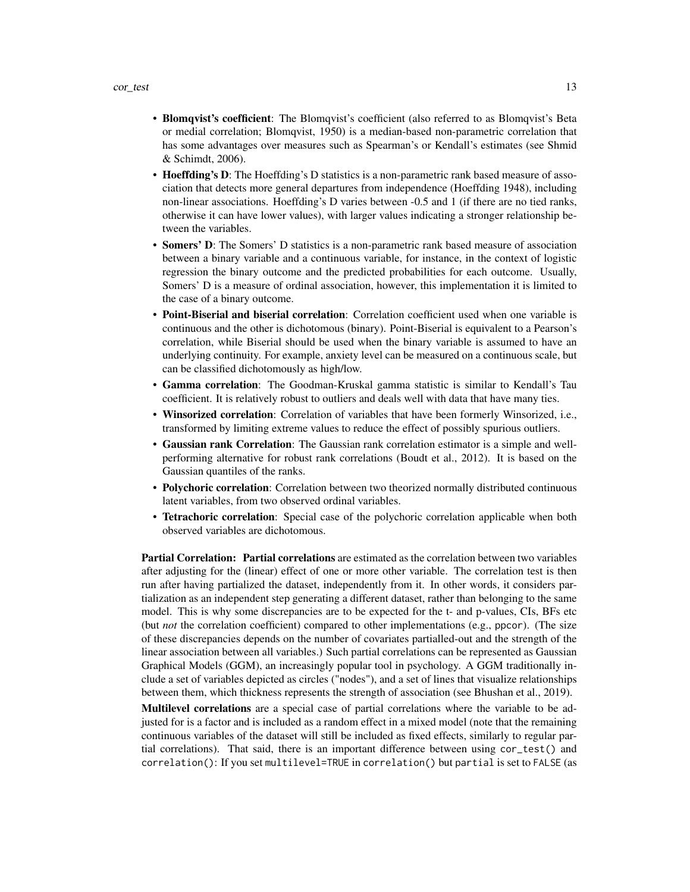- Blomqvist's coefficient: The Blomqvist's coefficient (also referred to as Blomqvist's Beta or medial correlation; Blomqvist, 1950) is a median-based non-parametric correlation that has some advantages over measures such as Spearman's or Kendall's estimates (see Shmid & Schimdt, 2006).
- Hoeffding's D: The Hoeffding's D statistics is a non-parametric rank based measure of association that detects more general departures from independence (Hoeffding 1948), including non-linear associations. Hoeffding's D varies between -0.5 and 1 (if there are no tied ranks, otherwise it can have lower values), with larger values indicating a stronger relationship between the variables.
- Somers' D: The Somers' D statistics is a non-parametric rank based measure of association between a binary variable and a continuous variable, for instance, in the context of logistic regression the binary outcome and the predicted probabilities for each outcome. Usually, Somers' D is a measure of ordinal association, however, this implementation it is limited to the case of a binary outcome.
- Point-Biserial and biserial correlation: Correlation coefficient used when one variable is continuous and the other is dichotomous (binary). Point-Biserial is equivalent to a Pearson's correlation, while Biserial should be used when the binary variable is assumed to have an underlying continuity. For example, anxiety level can be measured on a continuous scale, but can be classified dichotomously as high/low.
- Gamma correlation: The Goodman-Kruskal gamma statistic is similar to Kendall's Tau coefficient. It is relatively robust to outliers and deals well with data that have many ties.
- Winsorized correlation: Correlation of variables that have been formerly Winsorized, i.e., transformed by limiting extreme values to reduce the effect of possibly spurious outliers.
- Gaussian rank Correlation: The Gaussian rank correlation estimator is a simple and wellperforming alternative for robust rank correlations (Boudt et al., 2012). It is based on the Gaussian quantiles of the ranks.
- Polychoric correlation: Correlation between two theorized normally distributed continuous latent variables, from two observed ordinal variables.
- Tetrachoric correlation: Special case of the polychoric correlation applicable when both observed variables are dichotomous.

Partial Correlation: Partial correlations are estimated as the correlation between two variables after adjusting for the (linear) effect of one or more other variable. The correlation test is then run after having partialized the dataset, independently from it. In other words, it considers partialization as an independent step generating a different dataset, rather than belonging to the same model. This is why some discrepancies are to be expected for the t- and p-values, CIs, BFs etc (but *not* the correlation coefficient) compared to other implementations (e.g., ppcor). (The size of these discrepancies depends on the number of covariates partialled-out and the strength of the linear association between all variables.) Such partial correlations can be represented as Gaussian Graphical Models (GGM), an increasingly popular tool in psychology. A GGM traditionally include a set of variables depicted as circles ("nodes"), and a set of lines that visualize relationships between them, which thickness represents the strength of association (see Bhushan et al., 2019).

Multilevel correlations are a special case of partial correlations where the variable to be adjusted for is a factor and is included as a random effect in a mixed model (note that the remaining continuous variables of the dataset will still be included as fixed effects, similarly to regular partial correlations). That said, there is an important difference between using cor\_test() and correlation(): If you set multilevel=TRUE in correlation() but partial is set to FALSE (as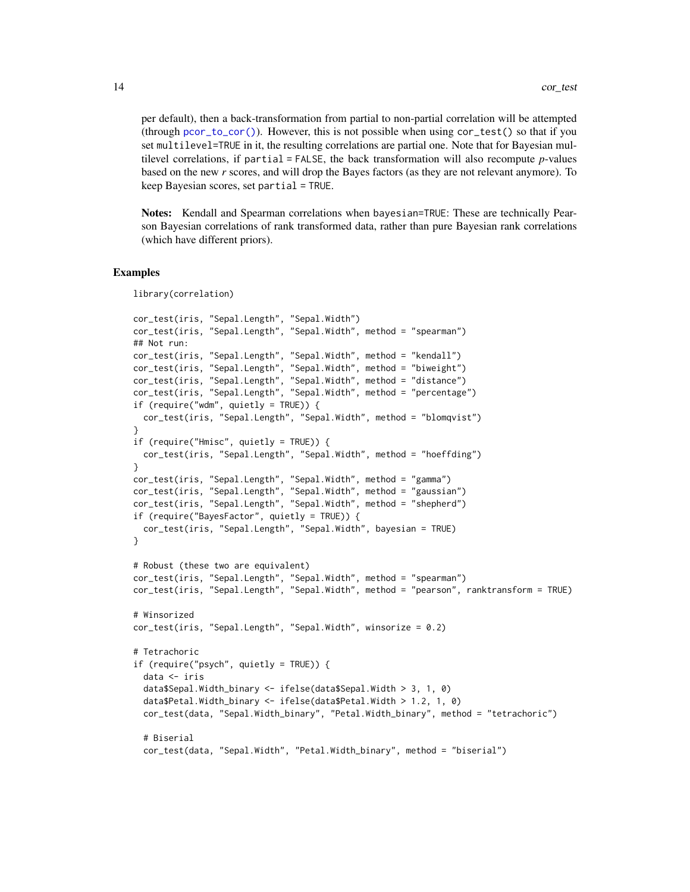<span id="page-13-0"></span>per default), then a back-transformation from partial to non-partial correlation will be attempted (through [pcor\\_to\\_cor\(\)](#page-17-1)). However, this is not possible when using cor\_test() so that if you set multilevel=TRUE in it, the resulting correlations are partial one. Note that for Bayesian multilevel correlations, if partial = FALSE, the back transformation will also recompute *p*-values based on the new *r* scores, and will drop the Bayes factors (as they are not relevant anymore). To keep Bayesian scores, set partial = TRUE.

Notes: Kendall and Spearman correlations when bayesian=TRUE: These are technically Pearson Bayesian correlations of rank transformed data, rather than pure Bayesian rank correlations (which have different priors).

#### Examples

library(correlation)

```
cor_test(iris, "Sepal.Length", "Sepal.Width")
cor_test(iris, "Sepal.Length", "Sepal.Width", method = "spearman")
## Not run:
cor_test(iris, "Sepal.Length", "Sepal.Width", method = "kendall")
cor_test(iris, "Sepal.Length", "Sepal.Width", method = "biweight")
cor_test(iris, "Sepal.Length", "Sepal.Width", method = "distance")
cor_test(iris, "Sepal.Length", "Sepal.Width", method = "percentage")
if (require("wdm", quietly = TRUE)) {
  cor_test(iris, "Sepal.Length", "Sepal.Width", method = "blomqvist")
}
if (require("Hmisc", quietly = TRUE)) {
  cor_test(iris, "Sepal.Length", "Sepal.Width", method = "hoeffding")
}
cor_test(iris, "Sepal.Length", "Sepal.Width", method = "gamma")
cor_test(iris, "Sepal.Length", "Sepal.Width", method = "gaussian")
cor_test(iris, "Sepal.Length", "Sepal.Width", method = "shepherd")
if (require("BayesFactor", quietly = TRUE)) {
  cor_test(iris, "Sepal.Length", "Sepal.Width", bayesian = TRUE)
}
# Robust (these two are equivalent)
cor_test(iris, "Sepal.Length", "Sepal.Width", method = "spearman")
cor_test(iris, "Sepal.Length", "Sepal.Width", method = "pearson", ranktransform = TRUE)
# Winsorized
cor_test(iris, "Sepal.Length", "Sepal.Width", winsorize = 0.2)
# Tetrachoric
if (require("psych", quietly = TRUE)) {
  data <- iris
  data$Sepal.Width_binary <- ifelse(data$Sepal.Width > 3, 1, 0)
  data$Petal.Width_binary <- ifelse(data$Petal.Width > 1.2, 1, 0)
  cor_test(data, "Sepal.Width_binary", "Petal.Width_binary", method = "tetrachoric")
  # Biserial
  cor_test(data, "Sepal.Width", "Petal.Width_binary", method = "biserial")
```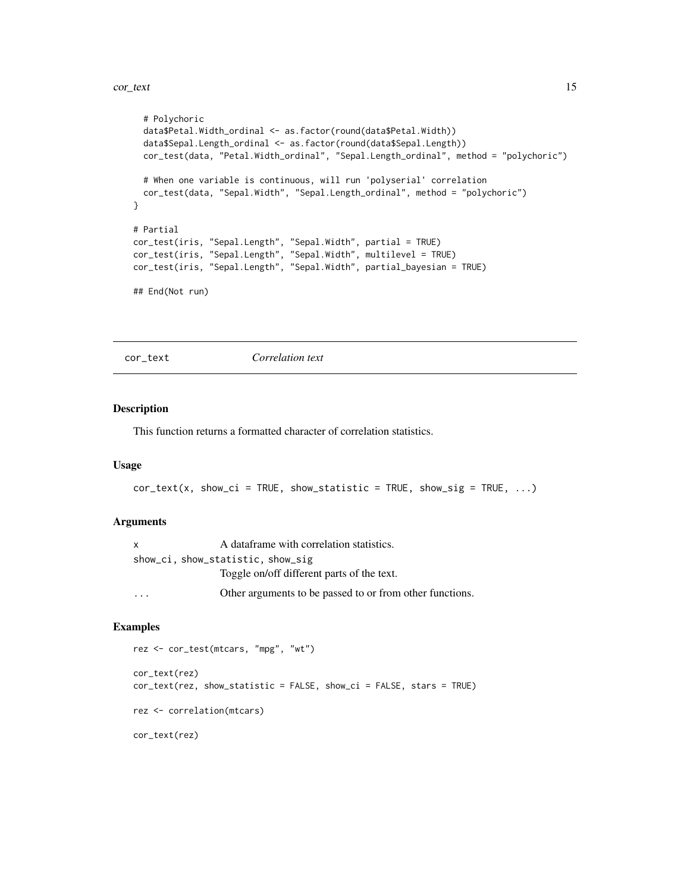```
# Polychoric
 data$Petal.Width_ordinal <- as.factor(round(data$Petal.Width))
 data$Sepal.Length_ordinal <- as.factor(round(data$Sepal.Length))
 cor_test(data, "Petal.Width_ordinal", "Sepal.Length_ordinal", method = "polychoric")
 # When one variable is continuous, will run 'polyserial' correlation
 cor_test(data, "Sepal.Width", "Sepal.Length_ordinal", method = "polychoric")
}
# Partial
cor_test(iris, "Sepal.Length", "Sepal.Width", partial = TRUE)
cor_test(iris, "Sepal.Length", "Sepal.Width", multilevel = TRUE)
cor_test(iris, "Sepal.Length", "Sepal.Width", partial_bayesian = TRUE)
## End(Not run)
```
cor\_text *Correlation text*

## **Description**

This function returns a formatted character of correlation statistics.

### Usage

```
cor\_text(x, show\_ci = TRUE, show\_statistic = TRUE, show\_sig = TRUE, ...)
```
#### Arguments

| X | A dataframe with correlation statistics.                 |
|---|----------------------------------------------------------|
|   | show_ci, show_statistic, show_sig                        |
|   | Toggle on/off different parts of the text.               |
|   | Other arguments to be passed to or from other functions. |

```
rez <- cor_test(mtcars, "mpg", "wt")
cor_text(rez)
cor_text(rez, show_statistic = FALSE, show_ci = FALSE, stars = TRUE)
rez <- correlation(mtcars)
cor_text(rez)
```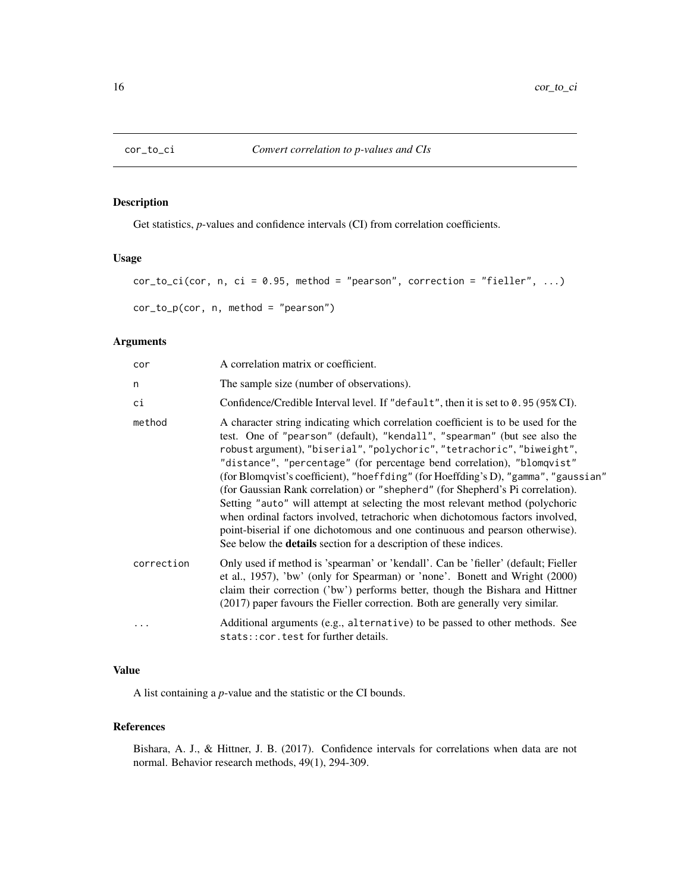<span id="page-15-0"></span>

## Description

Get statistics, *p*-values and confidence intervals (CI) from correlation coefficients.

#### Usage

```
cor_to_ci(cor, n, ci = 0.95, method = "pearson", correction = "fielder", ...)cor_to_p(cor, n, method = "pearson")
```
## Arguments

| cor        | A correlation matrix or coefficient.                                                                                                                                                                                                                                                                                                                                                                                                                                                                                                                                                                                                                                                                                                                                                                                       |
|------------|----------------------------------------------------------------------------------------------------------------------------------------------------------------------------------------------------------------------------------------------------------------------------------------------------------------------------------------------------------------------------------------------------------------------------------------------------------------------------------------------------------------------------------------------------------------------------------------------------------------------------------------------------------------------------------------------------------------------------------------------------------------------------------------------------------------------------|
| n          | The sample size (number of observations).                                                                                                                                                                                                                                                                                                                                                                                                                                                                                                                                                                                                                                                                                                                                                                                  |
| сi         | Confidence/Credible Interval level. If "default", then it is set to $0.95(95\%)$ CI).                                                                                                                                                                                                                                                                                                                                                                                                                                                                                                                                                                                                                                                                                                                                      |
| method     | A character string indicating which correlation coefficient is to be used for the<br>test. One of "pearson" (default), "kendall", "spearman" (but see also the<br>robust argument), "biserial", "polychoric", "tetrachoric", "biweight",<br>"distance", "percentage" (for percentage bend correlation), "blomqvist"<br>(for Blomqvist's coefficient), "hoeffding" (for Hoeffding's D), "gamma", "gaussian"<br>(for Gaussian Rank correlation) or "shepherd" (for Shepherd's Pi correlation).<br>Setting "auto" will attempt at selecting the most relevant method (polychoric<br>when ordinal factors involved, tetrachoric when dichotomous factors involved,<br>point-biserial if one dichotomous and one continuous and pearson otherwise).<br>See below the <b>details</b> section for a description of these indices. |
| correction | Only used if method is 'spearman' or 'kendall'. Can be 'fieller' (default; Fieller<br>et al., 1957), 'bw' (only for Spearman) or 'none'. Bonett and Wright (2000)<br>claim their correction ('bw') performs better, though the Bishara and Hittner<br>(2017) paper favours the Fieller correction. Both are generally very similar.                                                                                                                                                                                                                                                                                                                                                                                                                                                                                        |
| $\cdots$   | Additional arguments (e.g., alternative) to be passed to other methods. See<br>stats:: cor.test for further details.                                                                                                                                                                                                                                                                                                                                                                                                                                                                                                                                                                                                                                                                                                       |

## Value

A list containing a *p*-value and the statistic or the CI bounds.

#### References

Bishara, A. J., & Hittner, J. B. (2017). Confidence intervals for correlations when data are not normal. Behavior research methods, 49(1), 294-309.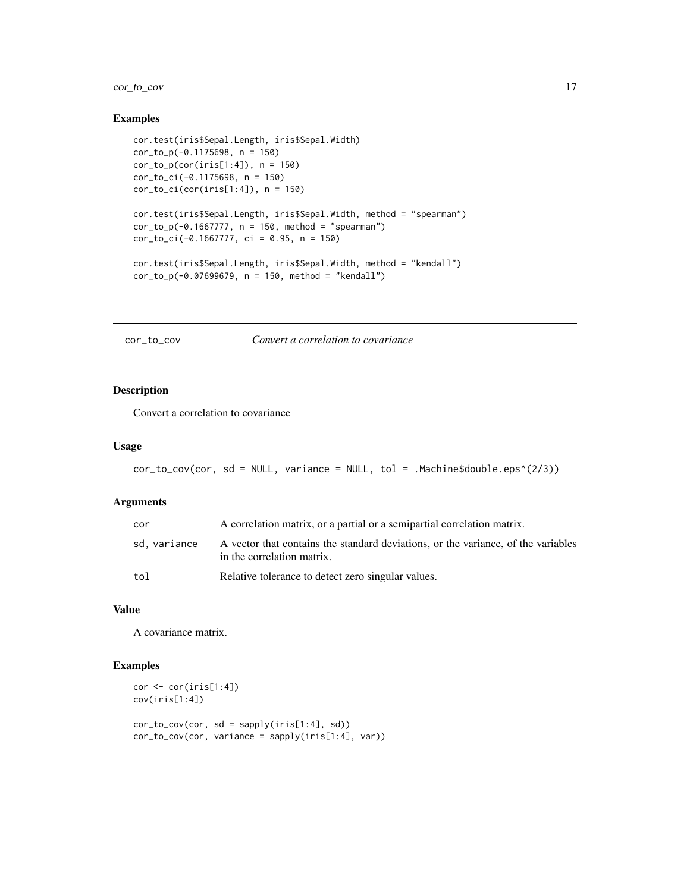## <span id="page-16-0"></span>cor\_to\_cov 17

#### Examples

```
cor.test(iris$Sepal.Length, iris$Sepal.Width)
cor_to_p(-0.1175698, n = 150)
cor_to_p(cor(iris[1:4]), n = 150)cor_to_ci(-0.1175698, n = 150)
cor_to_ci(cor(iris[1:4]), n = 150)cor.test(iris$Sepal.Length, iris$Sepal.Width, method = "spearman")
cor_to_p(-0.1667777, n = 150, method = "spearman")cor_to_ci(-0.1667777, ci = 0.95, n = 150)
cor.test(iris$Sepal.Length, iris$Sepal.Width, method = "kendall")
cor_to_p(-0.07699679, n = 150, method = "kendall")
```
cor\_to\_cov *Convert a correlation to covariance*

## Description

Convert a correlation to covariance

#### Usage

```
cor_to_cov(cor, sd = NULL, variance = NULL, tol = .Machine$double.eps^(2/3))
```
#### Arguments

| cor          | A correlation matrix, or a partial or a semipartial correlation matrix.                                         |
|--------------|-----------------------------------------------------------------------------------------------------------------|
| sd, variance | A vector that contains the standard deviations, or the variance, of the variables<br>in the correlation matrix. |
| tol          | Relative tolerance to detect zero singular values.                                                              |

#### Value

A covariance matrix.

```
cor \leftarrow cor(iris[1:4])cov(iris[1:4])
cor_to_cov(cor, sd = sapply(iris[1:4], sd))
cor_to_cov(cor, variance = sapply(iris[1:4], var))
```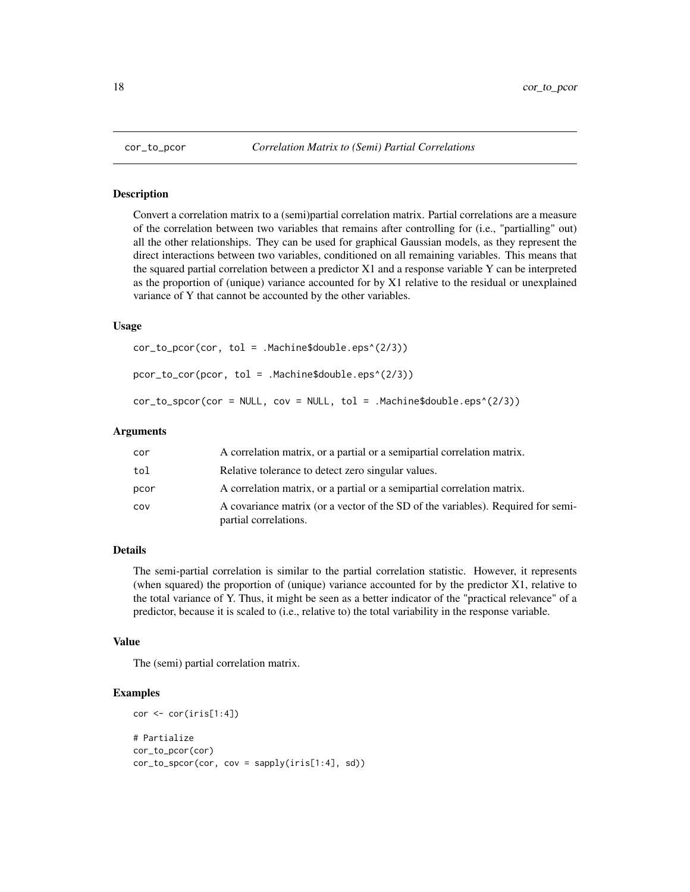#### <span id="page-17-1"></span>Description

Convert a correlation matrix to a (semi)partial correlation matrix. Partial correlations are a measure of the correlation between two variables that remains after controlling for (i.e., "partialling" out) all the other relationships. They can be used for graphical Gaussian models, as they represent the direct interactions between two variables, conditioned on all remaining variables. This means that the squared partial correlation between a predictor X1 and a response variable Y can be interpreted as the proportion of (unique) variance accounted for by X1 relative to the residual or unexplained variance of Y that cannot be accounted by the other variables.

#### Usage

cor\_to\_pcor(cor, tol = .Machine\$double.eps^(2/3)) pcor\_to\_cor(pcor, tol = .Machine\$double.eps^(2/3))  $cor_to_spor(cor = NULL, cov = NULL, tol = .Machine$double.eps^(2/3))$ 

#### Arguments

| cor  | A correlation matrix, or a partial or a semipartial correlation matrix.                                   |
|------|-----------------------------------------------------------------------------------------------------------|
| tol  | Relative tolerance to detect zero singular values.                                                        |
| pcor | A correlation matrix, or a partial or a semipartial correlation matrix.                                   |
| cov  | A covariance matrix (or a vector of the SD of the variables). Required for semi-<br>partial correlations. |

## Details

The semi-partial correlation is similar to the partial correlation statistic. However, it represents (when squared) the proportion of (unique) variance accounted for by the predictor X1, relative to the total variance of Y. Thus, it might be seen as a better indicator of the "practical relevance" of a predictor, because it is scaled to (i.e., relative to) the total variability in the response variable.

#### Value

The (semi) partial correlation matrix.

```
cor <- cor(iris[1:4])
# Partialize
cor_to_pcor(cor)
cor_to_spcor(cor, cov = sapply(iris[1:4], sd))
```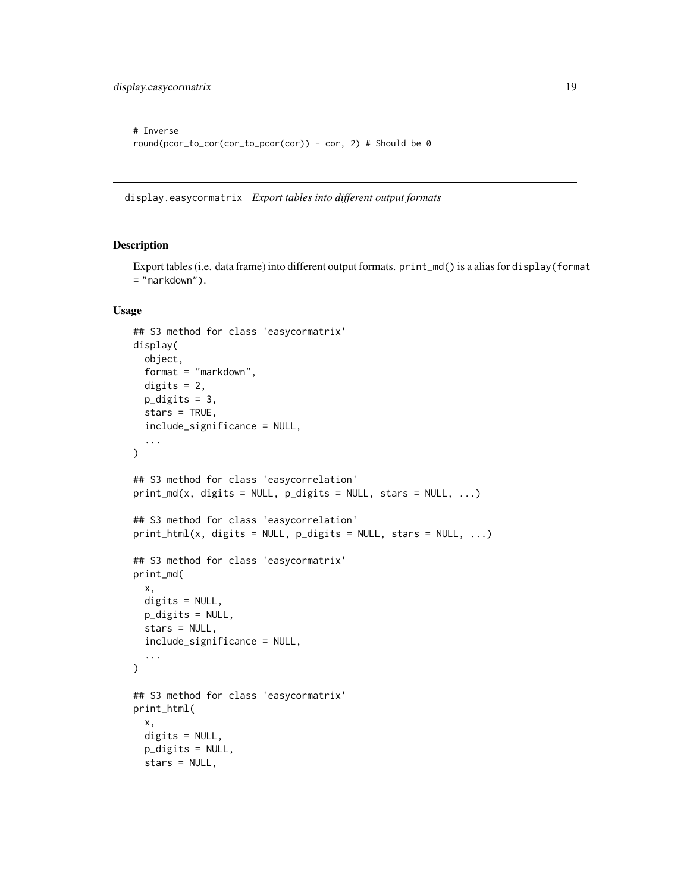```
# Inverse
round(pcor_to_cor(cor_to_pcor(cor)) - cor, 2) # Should be 0
```
display.easycormatrix *Export tables into different output formats*

## Description

Export tables (i.e. data frame) into different output formats. print\_md() is a alias for display(format = "markdown").

#### Usage

```
## S3 method for class 'easycormatrix'
display(
  object,
  format = "markdown",
  digits = 2,
  p_digits = 3,
  stars = TRUE,
  include_significance = NULL,
  ...
\mathcal{L}## S3 method for class 'easycorrelation'
print_m d(x, \text{ digits} = NULL, \text{ <i>p</i>-digits = NULL, \text{ stars} = NULL, ...)## S3 method for class 'easycorrelation'
print_thtml(x, digits = NULL, p\_digits = NULL, stars = NULL, ...)## S3 method for class 'easycormatrix'
print_md(
  x,
  digits = NULL,
  p_digits = NULL,
  stars = NULL,
  include_significance = NULL,
  ...
\mathcal{L}## S3 method for class 'easycormatrix'
print_html(
  x,
  digits = NULL,
  p_digits = NULL,
  stars = NULL,
```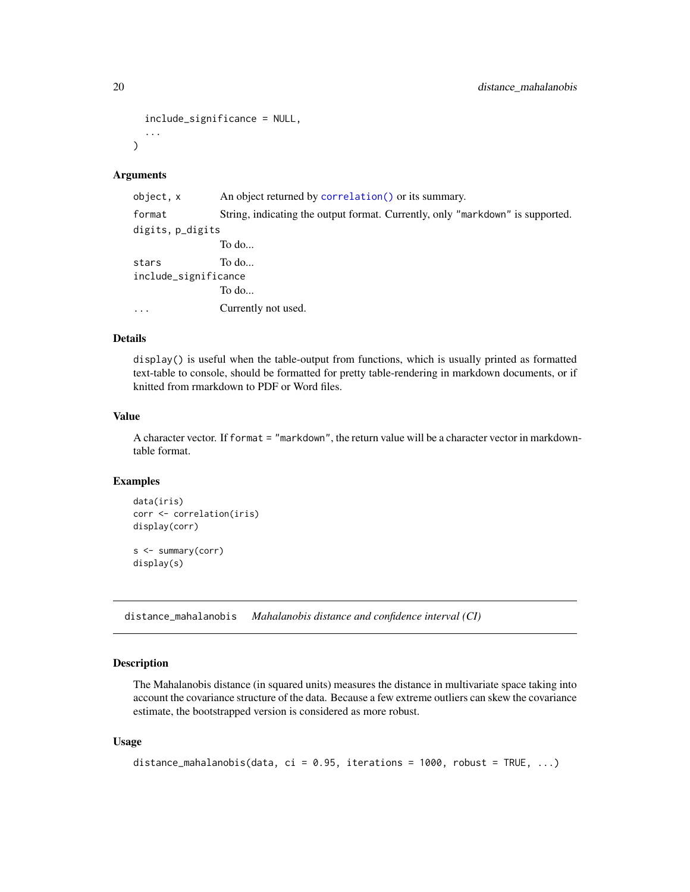```
include_significance = NULL,
  ...
\lambda
```
#### Arguments

| object, x            | An object returned by correlation () or its summary.                           |  |
|----------------------|--------------------------------------------------------------------------------|--|
| format               | String, indicating the output format. Currently, only "markdown" is supported. |  |
| digits, p_digits     |                                                                                |  |
|                      | To do                                                                          |  |
| stars                | To do                                                                          |  |
| include_significance |                                                                                |  |
|                      | To do                                                                          |  |
| $\cdots$             | Currently not used.                                                            |  |
|                      |                                                                                |  |

#### Details

display() is useful when the table-output from functions, which is usually printed as formatted text-table to console, should be formatted for pretty table-rendering in markdown documents, or if knitted from rmarkdown to PDF or Word files.

### Value

A character vector. If format = "markdown", the return value will be a character vector in markdowntable format.

#### Examples

```
data(iris)
corr <- correlation(iris)
display(corr)
s <- summary(corr)
display(s)
```
distance\_mahalanobis *Mahalanobis distance and confidence interval (CI)*

## Description

The Mahalanobis distance (in squared units) measures the distance in multivariate space taking into account the covariance structure of the data. Because a few extreme outliers can skew the covariance estimate, the bootstrapped version is considered as more robust.

#### Usage

```
distance_mahalanobis(data, ci = 0.95, iterations = 1000, robust = TRUE, ...)
```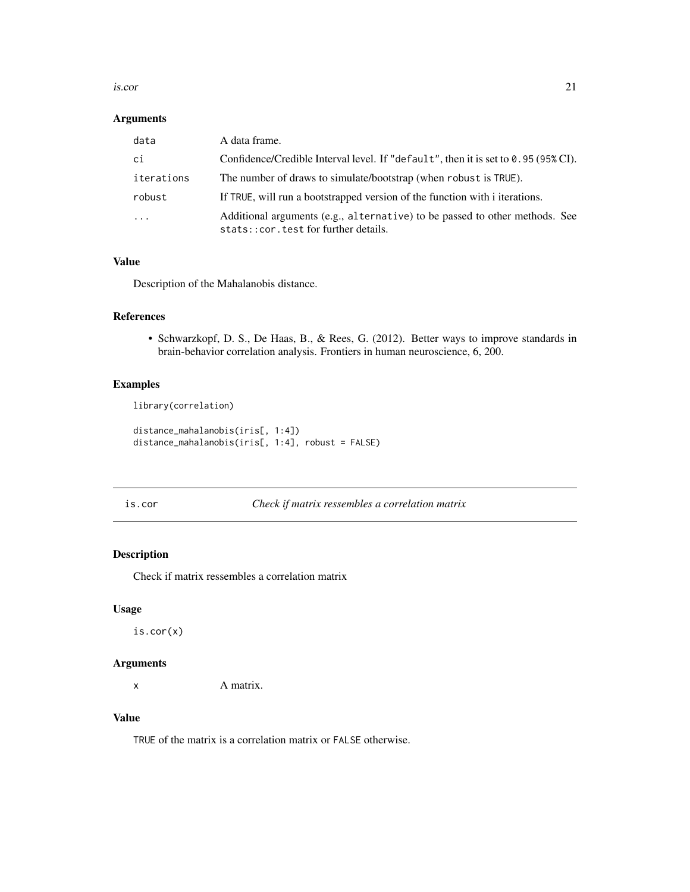#### <span id="page-20-0"></span>is.cor 21

## Arguments

| data       | A data frame.                                                                                                        |
|------------|----------------------------------------------------------------------------------------------------------------------|
| сi         | Confidence/Credible Interval level. If "default", then it is set to $0.95(95\%)$ CI).                                |
| iterations | The number of draws to simulate/bootstrap (when robust is TRUE).                                                     |
| robust     | If TRUE, will run a bootstrapped version of the function with i iterations.                                          |
| $\ddotsc$  | Additional arguments (e.g., alternative) to be passed to other methods. See<br>stats:: cor.test for further details. |

## Value

Description of the Mahalanobis distance.

## References

• Schwarzkopf, D. S., De Haas, B., & Rees, G. (2012). Better ways to improve standards in brain-behavior correlation analysis. Frontiers in human neuroscience, 6, 200.

## Examples

library(correlation)

```
distance_mahalanobis(iris[, 1:4])
distance_mahalanobis(iris[, 1:4], robust = FALSE)
```
is.cor *Check if matrix ressembles a correlation matrix*

## Description

Check if matrix ressembles a correlation matrix

## Usage

is.cor(x)

## Arguments

x A matrix.

## Value

TRUE of the matrix is a correlation matrix or FALSE otherwise.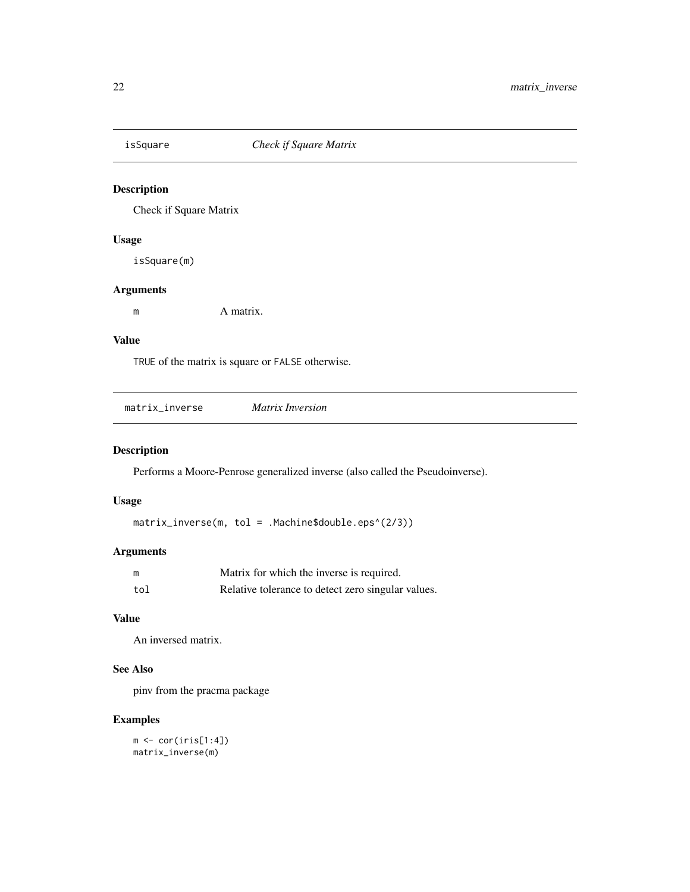<span id="page-21-0"></span>

## Description

Check if Square Matrix

## Usage

isSquare(m)

## Arguments

m A matrix.

## Value

TRUE of the matrix is square or FALSE otherwise.

| matrix inverse | Matrix Inversion |
|----------------|------------------|
|                |                  |

## Description

Performs a Moore-Penrose generalized inverse (also called the Pseudoinverse).

## Usage

matrix\_inverse(m, tol = .Machine\$double.eps^(2/3))

## Arguments

| m   | Matrix for which the inverse is required.          |
|-----|----------------------------------------------------|
| tol | Relative tolerance to detect zero singular values. |

## Value

An inversed matrix.

## See Also

pinv from the pracma package

## Examples

 $m \leftarrow cor(iris[1:4])$ matrix\_inverse(m)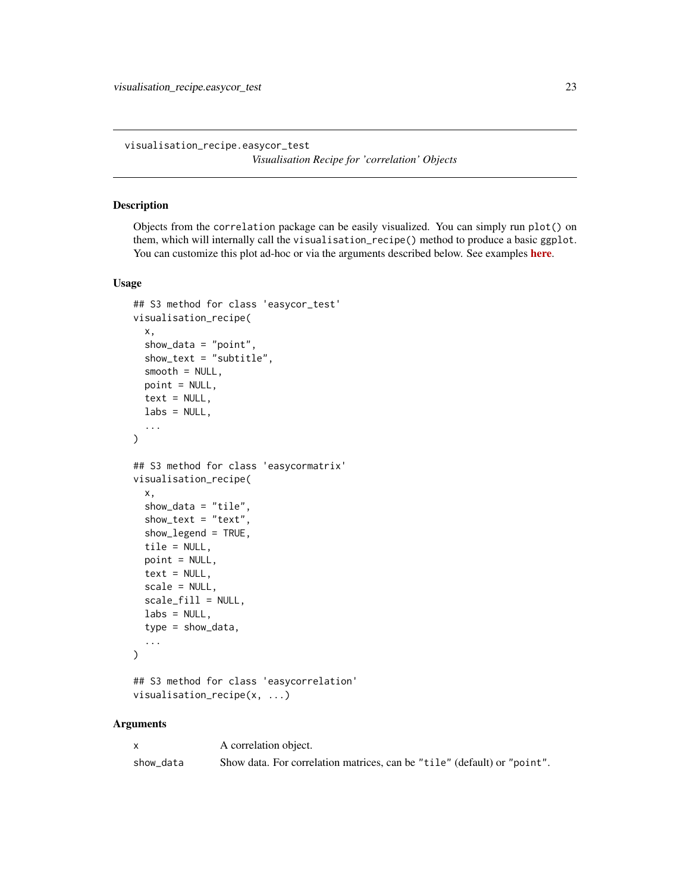<span id="page-22-0"></span>visualisation\_recipe.easycor\_test *Visualisation Recipe for 'correlation' Objects*

## <span id="page-22-1"></span>Description

Objects from the correlation package can be easily visualized. You can simply run plot() on them, which will internally call the visualisation\_recipe() method to produce a basic ggplot. You can customize this plot ad-hoc or via the arguments described below. See examples [here](https://easystats.github.io/correlation/reference/visualisation_recipe.easycormatrix.html#ref-examples).

#### Usage

```
## S3 method for class 'easycor_test'
visualisation_recipe(
  x,
  show_data = "point",
  show_text = "subtitle",
  smooth = NULL,point = NULL,
  text = NULL,\text{labels} = \text{NULL},
  ...
)
## S3 method for class 'easycormatrix'
visualisation_recipe(
  x,
  show_data = "tile".
  show\_text = "text",show_legend = TRUE,
  tile = NULL,
  point = NULL,
  text = NULL,scale = NULL,
  scale_fill = NULL,
  \text{labels} = \text{NULL},
  type = show_data,
  ...
)
```

```
## S3 method for class 'easycorrelation'
visualisation_recipe(x, ...)
```
#### Arguments

|           | A correlation object.                                                    |
|-----------|--------------------------------------------------------------------------|
| show data | Show data. For correlation matrices, can be "tile" (default) or "point". |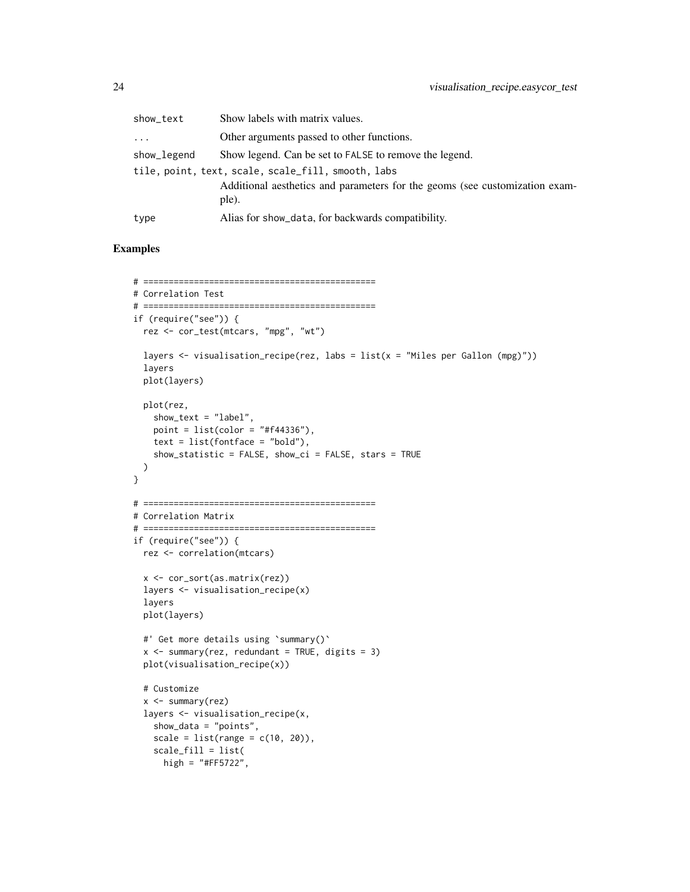| show_text                                          | Show labels with matrix values.                                                      |  |
|----------------------------------------------------|--------------------------------------------------------------------------------------|--|
| $\cdots$                                           | Other arguments passed to other functions.                                           |  |
| show_legend                                        | Show legend. Can be set to FALSE to remove the legend.                               |  |
| tile, point, text, scale, scale_fill, smooth, labs |                                                                                      |  |
|                                                    | Additional aesthetics and parameters for the geoms (see customization exam-<br>ple). |  |
| type                                               | Alias for show_data, for backwards compatibility.                                    |  |

```
# ==============================================
# Correlation Test
# ==============================================
if (require("see")) {
  rez <- cor_test(mtcars, "mpg", "wt")
  layers \le visualisation_recipe(rez, labs = list(x = "Miles per Gallon (mpg)"))
  layers
  plot(layers)
  plot(rez,
   show_text = "label",
   point = list(color = "#f44336"),
   text = list(fontface = "bold"),
   show_statistic = FALSE, show_ci = FALSE, stars = TRUE
 \lambda}
# ==============================================
# Correlation Matrix
# ==============================================
if (require("see")) {
 rez <- correlation(mtcars)
 x <- cor_sort(as.matrix(rez))
  layers <- visualisation_recipe(x)
  layers
  plot(layers)
  #' Get more details using `summary()`
  x \le summary(rez, redundant = TRUE, digits = 3)
  plot(visualisation_recipe(x))
  # Customize
  x <- summary(rez)
  layers <- visualisation_recipe(x,
   show_data = "points",
   scale = list(range = c(10, 20)),
   scale_fill = list(
     high = "#FF5722",
```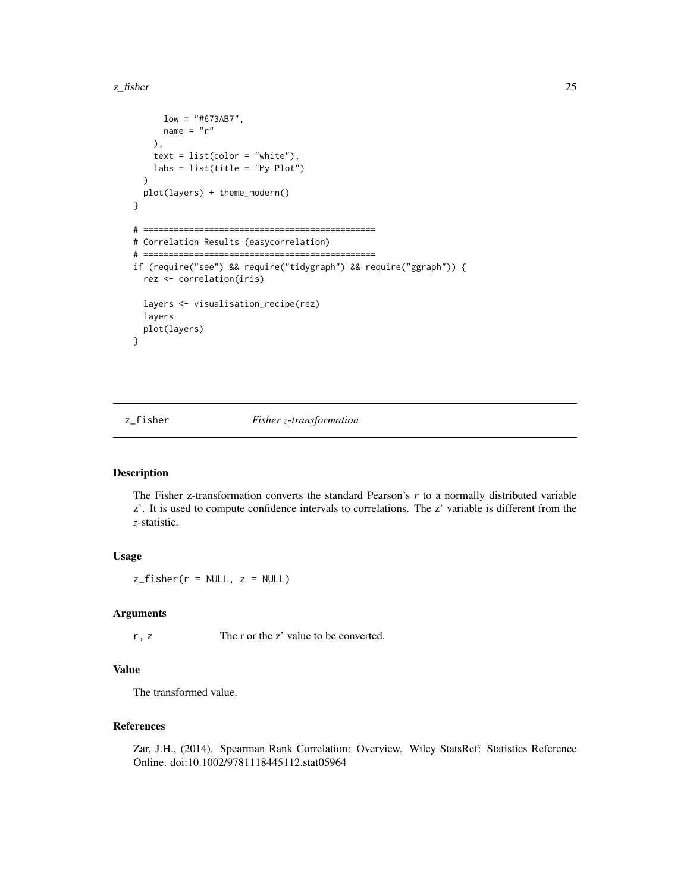#### <span id="page-24-0"></span>z\_fisher 25

```
low = "#673AB7",name = "r"),
   text = list(color = "white"),
   labs = list(title = "My Plot"))
 plot(layers) + theme_modern()
}
# ==============================================
# Correlation Results (easycorrelation)
# ==============================================
if (require("see") && require("tidygraph") && require("ggraph")) {
 rez <- correlation(iris)
 layers <- visualisation_recipe(rez)
 layers
 plot(layers)
}
```
z\_fisher *Fisher z-transformation*

#### Description

The Fisher z-transformation converts the standard Pearson's *r* to a normally distributed variable z'. It is used to compute confidence intervals to correlations. The z' variable is different from the *z*-statistic.

## Usage

 $z_f$ isher(r = NULL,  $z$  = NULL)

## Arguments

r, z The r or the z' value to be converted.

#### Value

The transformed value.

## References

Zar, J.H., (2014). Spearman Rank Correlation: Overview. Wiley StatsRef: Statistics Reference Online. doi:10.1002/9781118445112.stat05964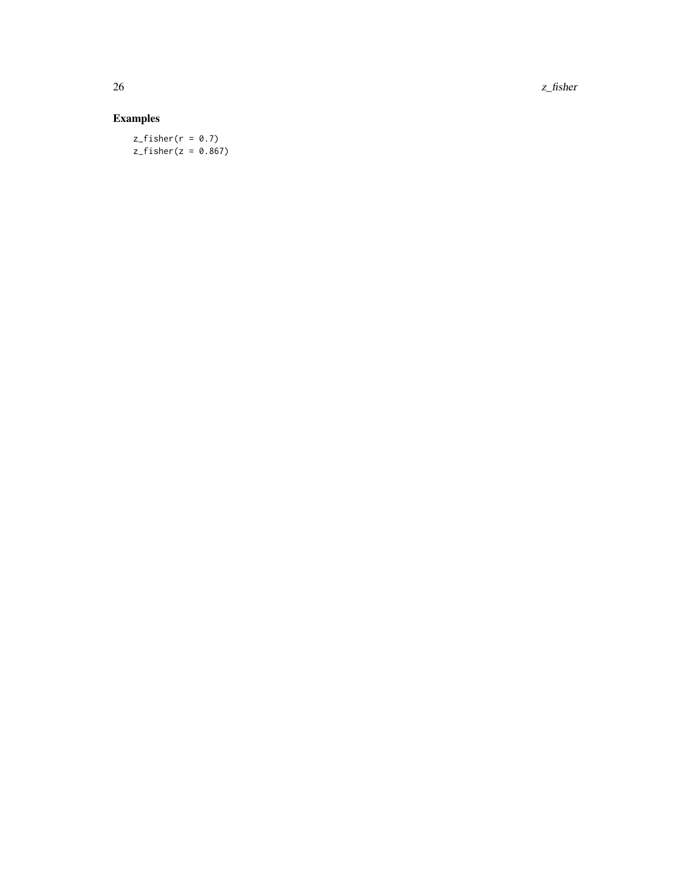$26$  z\_fisher

## Examples

 $z_fisher(r = 0.7)$  $z_f$ isher( $z = 0.867$ )